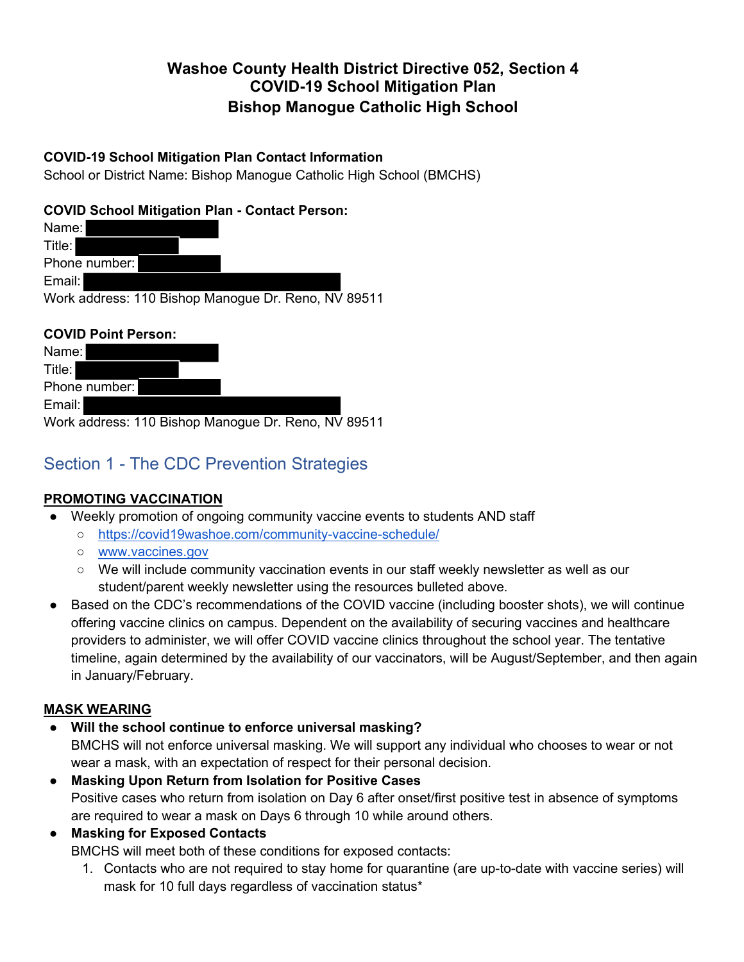## **Washoe County Health District Directive 052, Section 4 COVID-19 School Mitigation Plan Bishop Manogue Catholic High School**

### **COVID-19 School Mitigation Plan Contact Information**

School or District Name: Bishop Manogue Catholic High School (BMCHS)

### **COVID School Mitigation Plan - Contact Person:**

| Name:         |                                                     |  |
|---------------|-----------------------------------------------------|--|
| Title: I      |                                                     |  |
| Phone number: |                                                     |  |
| Email:        |                                                     |  |
|               | Work address: 110 Bishop Manogue Dr. Reno, NV 89511 |  |

## **COVID Point Person:**

| Name:         |                                                     |
|---------------|-----------------------------------------------------|
| Title:        |                                                     |
| Phone number: |                                                     |
| Email:        |                                                     |
|               | Work address: 110 Bishop Manogue Dr. Reno, NV 89511 |

# Section 1 - The CDC Prevention Strategies

## **PROMOTING VACCINATION**

- Weekly promotion of ongoing community vaccine events to students AND staff
	- https://covid19washoe.com/community-vaccine-schedule/
	- www.vaccines.gov
	- We will include community vaccination events in our staff weekly newsletter as well as our student/parent weekly newsletter using the resources bulleted above.
- Based on the CDC's recommendations of the COVID vaccine (including booster shots), we will continue offering vaccine clinics on campus. Dependent on the availability of securing vaccines and healthcare providers to administer, we will offer COVID vaccine clinics throughout the school year. The tentative timeline, again determined by the availability of our vaccinators, will be August/September, and then again in January/February.

#### **MASK WEARING**

- Will the school continue to enforce universal masking? BMCHS will not enforce universal masking. We will support any individual who chooses to wear or not
	- wear a mask, with an expectation of respect for their personal decision.
- **Masking Upon Return from Isolation for Positive Cases** Positive cases who return from isolation on Day 6 after onset/first positive test in absence of symptoms are required to wear a mask on Days 6 through 10 while around others.

● **Masking for Exposed Contacts** 

BMCHS will meet both of these conditions for exposed contacts:

1. Contacts who are not required to stay home for quarantine (are up-to-date with vaccine series) will mask for 10 full days regardless of vaccination status\*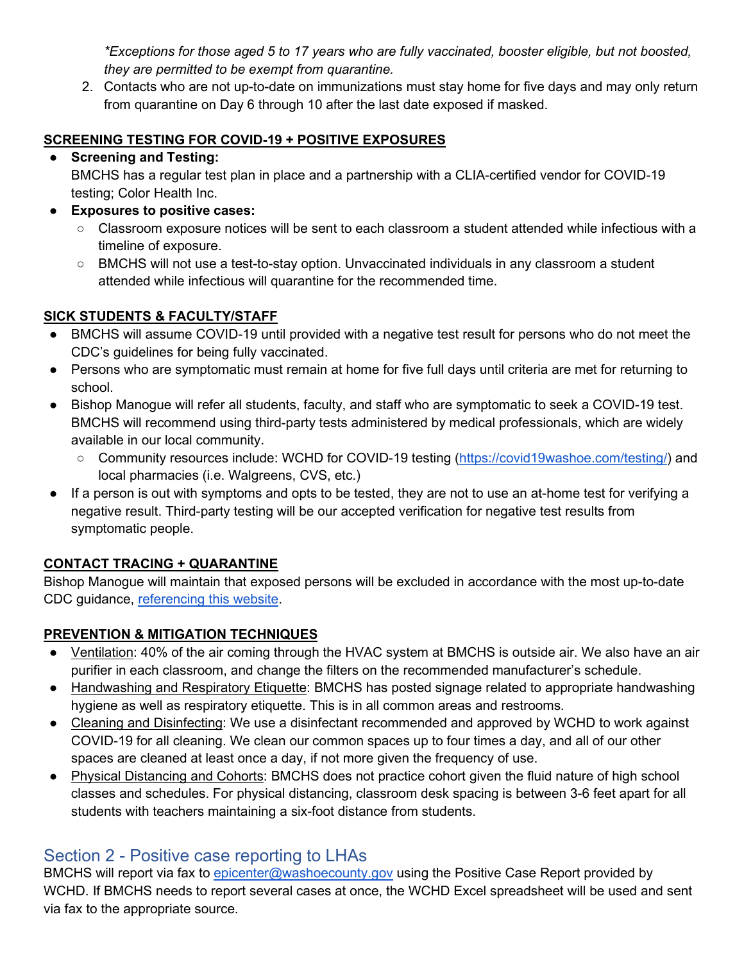*\*Exceptions for those aged 5 to 17 years who are fully vaccinated, booster eligible, but not boosted, they are permitted to be exempt from quarantine.*

2. Contacts who are not up-to-date on immunizations must stay home for five days and may only return from quarantine on Day 6 through 10 after the last date exposed if masked.

## **SCREENING TESTING FOR COVID-19 + POSITIVE EXPOSURES**

### ● **Screening and Testing:**

BMCHS has a regular test plan in place and a partnership with a CLIA-certified vendor for COVID-19 testing; Color Health Inc.

- **Exposures to positive cases:**
	- Classroom exposure notices will be sent to each classroom a student attended while infectious with a timeline of exposure.
	- BMCHS will not use a test-to-stay option. Unvaccinated individuals in any classroom a student attended while infectious will quarantine for the recommended time.

## **SICK STUDENTS & FACULTY/STAFF**

- BMCHS will assume COVID-19 until provided with a negative test result for persons who do not meet the CDC's guidelines for being fully vaccinated.
- Persons who are symptomatic must remain at home for five full days until criteria are met for returning to school.
- Bishop Manogue will refer all students, faculty, and staff who are symptomatic to seek a COVID-19 test. BMCHS will recommend using third-party tests administered by medical professionals, which are widely available in our local community.
	- Community resources include: WCHD for COVID-19 testing (https://covid19washoe.com/testing/) and local pharmacies (i.e. Walgreens, CVS, etc.)
- If a person is out with symptoms and opts to be tested, they are not to use an at-home test for verifying a negative result. Third-party testing will be our accepted verification for negative test results from symptomatic people.

## **CONTACT TRACING + QUARANTINE**

Bishop Manogue will maintain that exposed persons will be excluded in accordance with the most up-to-date CDC guidance, referencing this website.

## **PREVENTION & MITIGATION TECHNIQUES**

- Ventilation: 40% of the air coming through the HVAC system at BMCHS is outside air. We also have an air purifier in each classroom, and change the filters on the recommended manufacturer's schedule.
- Handwashing and Respiratory Etiquette: BMCHS has posted signage related to appropriate handwashing hygiene as well as respiratory etiquette. This is in all common areas and restrooms.
- Cleaning and Disinfecting: We use a disinfectant recommended and approved by WCHD to work against COVID-19 for all cleaning. We clean our common spaces up to four times a day, and all of our other spaces are cleaned at least once a day, if not more given the frequency of use.
- Physical Distancing and Cohorts: BMCHS does not practice cohort given the fluid nature of high school classes and schedules. For physical distancing, classroom desk spacing is between 3-6 feet apart for all students with teachers maintaining a six-foot distance from students.

## Section 2 - Positive case reporting to LHAs

BMCHS will report via fax to *epicenter@washoecounty.gov* using the Positive Case Report provided by WCHD. If BMCHS needs to report several cases at once, the WCHD Excel spreadsheet will be used and sent via fax to the appropriate source.